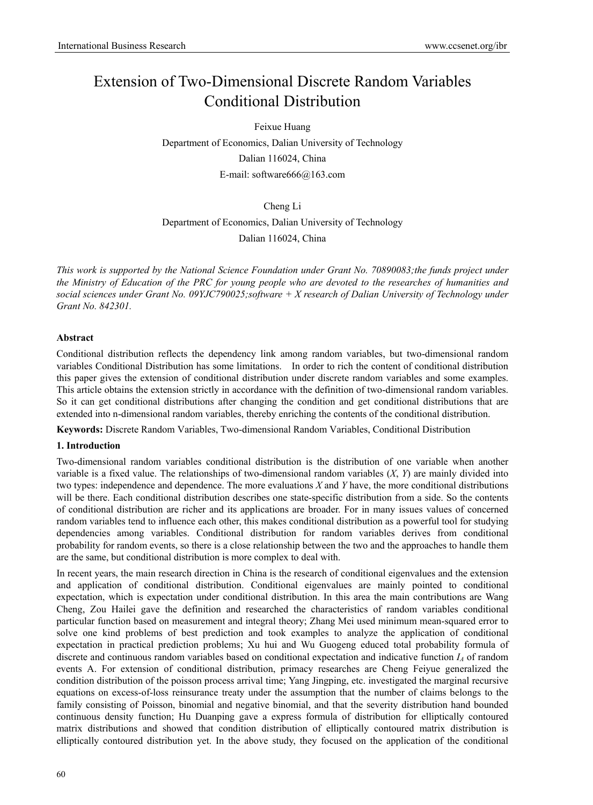# Extension of Two-Dimensional Discrete Random Variables Conditional Distribution

Feixue Huang Department of Economics, Dalian University of Technology Dalian 116024, China E-mail: software666@163.com

Cheng Li

Department of Economics, Dalian University of Technology

Dalian 116024, China

*This work is supported by the National Science Foundation under Grant No. 70890083;the funds project under the Ministry of Education of the PRC for young people who are devoted to the researches of humanities and social sciences under Grant No. 09YJC790025;software + X research of Dalian University of Technology under Grant No. 842301.* 

## **Abstract**

Conditional distribution reflects the dependency link among random variables, but two-dimensional random variables Conditional Distribution has some limitations. In order to rich the content of conditional distribution this paper gives the extension of conditional distribution under discrete random variables and some examples. This article obtains the extension strictly in accordance with the definition of two-dimensional random variables. So it can get conditional distributions after changing the condition and get conditional distributions that are extended into n-dimensional random variables, thereby enriching the contents of the conditional distribution.

**Keywords:** Discrete Random Variables, Two-dimensional Random Variables, Conditional Distribution

# **1. Introduction**

Two-dimensional random variables conditional distribution is the distribution of one variable when another variable is a fixed value. The relationships of two-dimensional random variables (*X*, *Y*) are mainly divided into two types: independence and dependence. The more evaluations *X* and *Y* have, the more conditional distributions will be there. Each conditional distribution describes one state-specific distribution from a side. So the contents of conditional distribution are richer and its applications are broader. For in many issues values of concerned random variables tend to influence each other, this makes conditional distribution as a powerful tool for studying dependencies among variables. Conditional distribution for random variables derives from conditional probability for random events, so there is a close relationship between the two and the approaches to handle them are the same, but conditional distribution is more complex to deal with.

In recent years, the main research direction in China is the research of conditional eigenvalues and the extension and application of conditional distribution. Conditional eigenvalues are mainly pointed to conditional expectation, which is expectation under conditional distribution. In this area the main contributions are Wang Cheng, Zou Hailei gave the definition and researched the characteristics of random variables conditional particular function based on measurement and integral theory; Zhang Mei used minimum mean-squared error to solve one kind problems of best prediction and took examples to analyze the application of conditional expectation in practical prediction problems; Xu hui and Wu Guogeng educed total probability formula of discrete and continuous random variables based on conditional expectation and indicative function *I<sub>A</sub>* of random events A. For extension of conditional distribution, primacy researches are Cheng Feiyue generalized the condition distribution of the poisson process arrival time; Yang Jingping, etc. investigated the marginal recursive equations on excess-of-loss reinsurance treaty under the assumption that the number of claims belongs to the family consisting of Poisson, binomial and negative binomial, and that the severity distribution hand bounded continuous density function; Hu Duanping gave a express formula of distribution for elliptically contoured matrix distributions and showed that condition distribution of elliptically contoured matrix distribution is elliptically contoured distribution yet. In the above study, they focused on the application of the conditional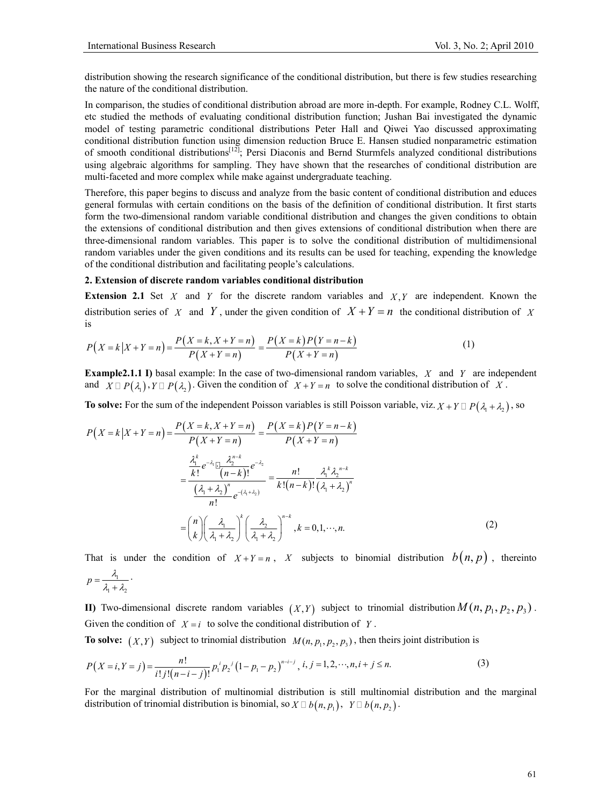$1 + \frac{1}{2}$ 

distribution showing the research significance of the conditional distribution, but there is few studies researching the nature of the conditional distribution.

In comparison, the studies of conditional distribution abroad are more in-depth. For example, Rodney C.L. Wolff, etc studied the methods of evaluating conditional distribution function; Jushan Bai investigated the dynamic model of testing parametric conditional distributions Peter Hall and Qiwei Yao discussed approximating conditional distribution function using dimension reduction Bruce E. Hansen studied nonparametric estimation of smooth conditional distributions<sup>[12]</sup>; Persi Diaconis and Bernd Sturmfels analyzed conditional distributions using algebraic algorithms for sampling. They have shown that the researches of conditional distribution are multi-faceted and more complex while make against undergraduate teaching.

Therefore, this paper begins to discuss and analyze from the basic content of conditional distribution and educes general formulas with certain conditions on the basis of the definition of conditional distribution. It first starts form the two-dimensional random variable conditional distribution and changes the given conditions to obtain the extensions of conditional distribution and then gives extensions of conditional distribution when there are three-dimensional random variables. This paper is to solve the conditional distribution of multidimensional random variables under the given conditions and its results can be used for teaching, expending the knowledge of the conditional distribution and facilitating people's calculations.

#### **2. Extension of discrete random variables conditional distribution**

**Extension 2.1** Set *X* and *Y* for the discrete random variables and *X,Y* are independent. Known the distribution series of *X* and *Y*, under the given condition of  $X + Y = n$  the conditional distribution of *X* is

$$
P(X = k | X + Y = n) = \frac{P(X = k, X + Y = n)}{P(X + Y = n)} = \frac{P(X = k)P(Y = n - k)}{P(X + Y = n)}
$$
(1)

**Example2.1.1 I)** basal example: In the case of two-dimensional random variables, *X* and *Y* are independent and  $X \square P(\lambda)$ ,  $Y \square P(\lambda)$ . Given the condition of  $X + Y = n$  to solve the conditional distribution of X.

**To solve:** For the sum of the independent Poisson variables is still Poisson variable, viz.  $X + Y \square P(\lambda_1 + \lambda_2)$ , so

$$
P(X = k | X + Y = n) = \frac{P(X = k, X + Y = n)}{P(X + Y = n)} = \frac{P(X = k)P(Y = n - k)}{P(X + Y = n)}
$$

$$
= \frac{\frac{\lambda_1^k}{k!} e^{-\lambda_1} \frac{\lambda_2^{n-k}}{(n-k)!} e^{-\lambda_2}}{\frac{(\lambda_1 + \lambda_2)^n}{n!} e^{-(\lambda_1 + \lambda_2)}} = \frac{n!}{k! (n-k)!} \frac{\lambda_1^k \lambda_2^{n-k}}{(\lambda_1 + \lambda_2)^n}
$$

$$
= \left(\frac{n}{k}\right) \left(\frac{\lambda_1}{\lambda_1 + \lambda_2}\right)^k \left(\frac{\lambda_2}{\lambda_1 + \lambda_2}\right)^{n-k}, k = 0, 1, \dots, n.
$$
 (2)

That is under the condition of  $X + Y = n$ , *X* subjects to binomial distribution  $b(n, p)$ , thereinto 1  $p = \frac{\lambda_1}{\lambda_1 + \lambda_2}$ .

**II)** Two-dimensional discrete random variables  $(X, Y)$  subject to trinomial distribution  $M(n, p_1, p_2, p_3)$ . Given the condition of  $X = i$  to solve the conditional distribution of *Y*.

**To solve:**  $(X, Y)$  subject to trinomial distribution  $M(n, p_1, p_2, p_3)$ , then theirs joint distribution is

$$
P(X=i, Y=j) = \frac{n!}{i! \, j! \, (n-i-j)!} p_1^i p_2^j (1-p_1-p_2)^{n-i-j}, \, i, j = 1, 2, \cdots, n, i+j \le n. \tag{3}
$$

For the marginal distribution of multinomial distribution is still multinomial distribution and the marginal distribution of trinomial distribution is binomial, so  $X \square b(n, p_1)$ ,  $Y \square b(n, p_2)$ .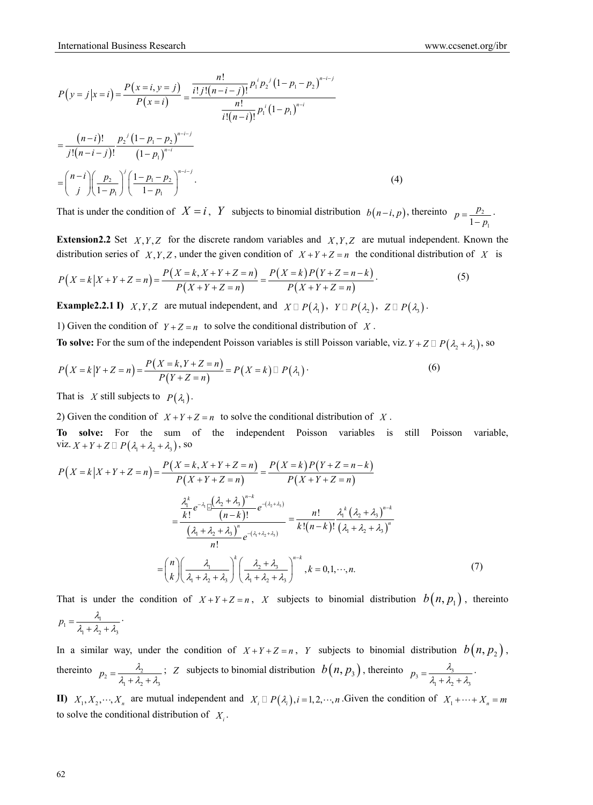$$
P(y = j | x = i) = \frac{P(x = i, y = j)}{P(x = i)} = \frac{\frac{n!}{i!j!(n-i-j)!} p_1^i p_2^j (1 - p_1 - p_2)^{n-i-j}}{\frac{n!}{i!(n-i)!} p_1^i (1 - p_1)^{n-i}}
$$
  
= 
$$
\frac{(n-i)!}{j!(n-i-j)!} \frac{p_2^j (1 - p_1 - p_2)^{n-i-j}}{(1 - p_1)^{n-i}}
$$
  
= 
$$
\binom{n-i}{j} \left(\frac{p_2}{1 - p_1}\right)^j \left(\frac{1 - p_1 - p_2}{1 - p_1}\right)^{n-i-j}.
$$
 (4)

That is under the condition of  $X = i$ , *Y* subjects to binomial distribution  $b(n-i, p)$ , thereinto  $p = \frac{p_2}{p_1 + p_2}$  $1 - p_1$  $p = \frac{p_2}{1-p_1}$ .

**Extension2.2** Set  $X, Y, Z$  for the discrete random variables and  $X, Y, Z$  are mutual independent. Known the distribution series of *X,Y,Z*, under the given condition of  $X + Y + Z = n$  the conditional distribution of *X* is

$$
P(X = k | X + Y + Z = n) = \frac{P(X = k, X + Y + Z = n)}{P(X + Y + Z = n)} = \frac{P(X = k)P(Y + Z = n - k)}{P(X + Y + Z = n)}.
$$
\n(5)

**Example2.2.1 I)** *X,Y,Z* are mutual independent, and  $X \square P(\lambda_1)$ ,  $Y \square P(\lambda_2)$ ,  $Z \square P(\lambda_1)$ .

1) Given the condition of  $Y + Z = n$  to solve the conditional distribution of X.

**To solve:** For the sum of the independent Poisson variables is still Poisson variable, viz.  $Y + Z \square P(\lambda_2 + \lambda_3)$ , so

$$
P(X=k|Y+Z=n) = \frac{P(X=k, Y+Z=n)}{P(Y+Z=n)} = P(X=k) \sqcup P(\lambda_1)
$$
 (6)

That is *X* still subjects to  $P(\lambda_1)$ .

2) Given the condition of  $X + Y + Z = n$  to solve the conditional distribution of X.

**To solve:** For the sum of the independent Poisson variables is still Poisson variable, viz.  $X + Y + Z \square P(\lambda_1 + \lambda_2 + \lambda_3)$ , so

$$
P(X = k | X + Y + Z = n) = \frac{P(X = k, X + Y + Z = n)}{P(X + Y + Z = n)} = \frac{P(X = k)P(Y + Z = n - k)}{P(X + Y + Z = n)}
$$

$$
= \frac{\frac{\lambda_1^k}{k!} e^{-\lambda_1} \frac{(\lambda_2 + \lambda_3)^{n-k}}{(n-k)!} e^{-(\lambda_2 + \lambda_3)}}{\frac{(\lambda_1 + \lambda_2 + \lambda_3)^n}{n!} e^{-(\lambda_1 + \lambda_2 + \lambda_3)}} = \frac{n!}{k! (n-k)!} \frac{\lambda_1^k (\lambda_2 + \lambda_3)^{n-k}}{(\lambda_1 + \lambda_2 + \lambda_3)^n}
$$

$$
= \binom{n}{k} \left(\frac{\lambda_1}{\lambda_1 + \lambda_2 + \lambda_3}\right)^k \left(\frac{\lambda_2 + \lambda_3}{\lambda_1 + \lambda_2 + \lambda_3}\right)^{n-k}, k = 0, 1, \dots, n. \tag{7}
$$

That is under the condition of  $X + Y + Z = n$ , *X* subjects to binomial distribution  $b(n, p_1)$ , thereinto  $b_1 = \frac{\lambda_1}{\lambda_1 + \lambda_2 + \lambda_3}$  $p_1 = \frac{\lambda_1}{\lambda_1 + \lambda_2 + \lambda_3}$ .

In a similar way, under the condition of  $X + Y + Z = n$ , *Y* subjects to binomial distribution  $b(n, p_2)$ , thereinto  $p_2 = \frac{\lambda_2}{\lambda_1 + \lambda_2 + \lambda_3}$  $p_2 = \frac{\lambda_2}{\lambda_1 + \lambda_2 + \lambda_3}$ ; *Z* subjects to binomial distribution  $b(n, p_3)$ , thereinto  $p_3 = \frac{\lambda_3}{\lambda_1 + \lambda_2 + \lambda_3}$  $p_3 = \frac{\lambda_3}{\lambda_1 + \lambda_2 + \lambda_3}$ .

**II)**  $X_1, X_2, \dots, X_n$  are mutual independent and  $X_i \square P(\lambda_i)$ ,  $i = 1, 2, \dots, n$ . Given the condition of  $X_1 + \dots + X_n = m$ to solve the conditional distribution of  $X_i$ .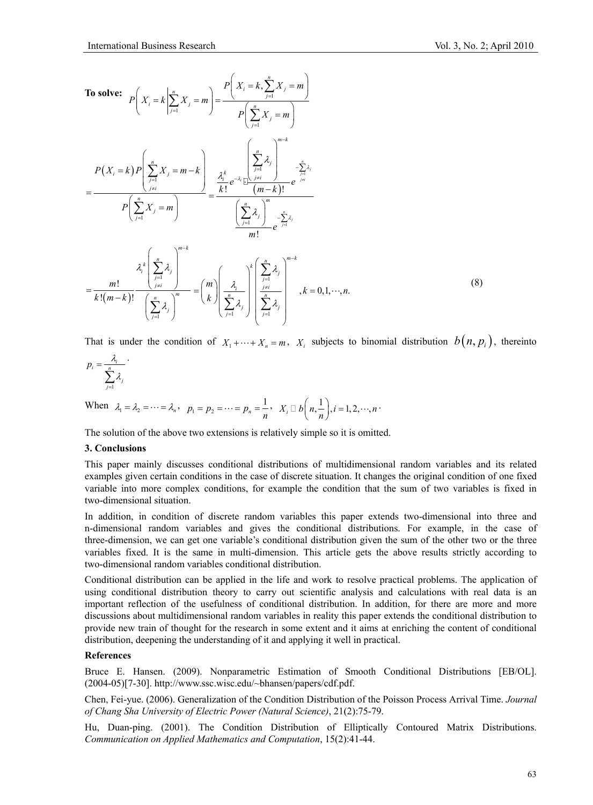

That is under the condition of  $X_1 + \cdots + X_n = m$ ,  $X_i$  subjects to binomial distribution  $b(n, p_i)$ , thereinto

$$
p_i = \frac{\lambda_i}{\sum_{j=1}^n \lambda_j}.
$$

When  $\lambda_1 = \lambda_2 = \dots = \lambda_n$ ,  $p_1 = p_2 = \dots = p_n = \frac{1}{n}$ ,  $X_i \square b\left(n, \frac{1}{n}\right), i = 1, 2, \dots, n$ .

The solution of the above two extensions is relatively simple so it is omitted.

### **3. Conclusions**

This paper mainly discusses conditional distributions of multidimensional random variables and its related examples given certain conditions in the case of discrete situation. It changes the original condition of one fixed variable into more complex conditions, for example the condition that the sum of two variables is fixed in two-dimensional situation.

In addition, in condition of discrete random variables this paper extends two-dimensional into three and n-dimensional random variables and gives the conditional distributions. For example, in the case of three-dimension, we can get one variable's conditional distribution given the sum of the other two or the three variables fixed. It is the same in multi-dimension. This article gets the above results strictly according to two-dimensional random variables conditional distribution.

Conditional distribution can be applied in the life and work to resolve practical problems. The application of using conditional distribution theory to carry out scientific analysis and calculations with real data is an important reflection of the usefulness of conditional distribution. In addition, for there are more and more discussions about multidimensional random variables in reality this paper extends the conditional distribution to provide new train of thought for the research in some extent and it aims at enriching the content of conditional distribution, deepening the understanding of it and applying it well in practical.

#### **References**

Bruce E. Hansen. (2009). Nonparametric Estimation of Smooth Conditional Distributions [EB/OL]. (2004-05)[7-30]. http://www.ssc.wisc.edu/~bhansen/papers/cdf.pdf.

Chen, Fei-yue. (2006). Generalization of the Condition Distribution of the Poisson Process Arrival Time. *Journal of Chang Sha University of Electric Power (Natural Science)*, 21(2):75-79.

Hu, Duan-ping. (2001). The Condition Distribution of Elliptically Contoured Matrix Distributions. *Communication on Applied Mathematics and Computation*, 15(2):41-44.